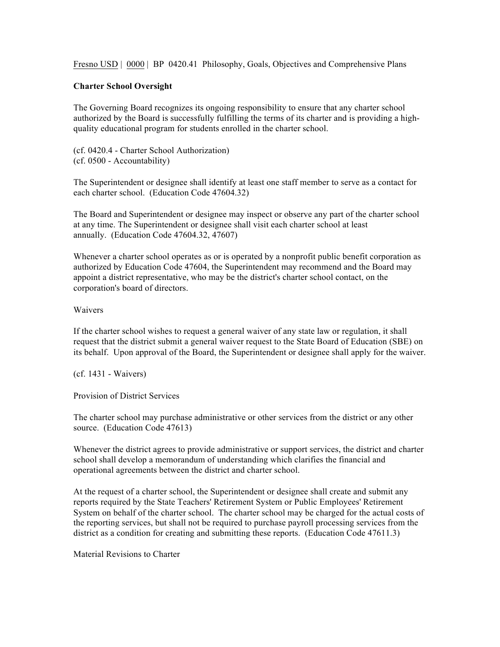Fresno USD | 0000 | BP 0420.41 Philosophy, Goals, Objectives and Comprehensive Plans

## **Charter School Oversight**

The Governing Board recognizes its ongoing responsibility to ensure that any charter school authorized by the Board is successfully fulfilling the terms of its charter and is providing a highquality educational program for students enrolled in the charter school.

(cf. 0420.4 - Charter School Authorization) (cf. 0500 - Accountability)

The Superintendent or designee shall identify at least one staff member to serve as a contact for each charter school. (Education Code 47604.32)

The Board and Superintendent or designee may inspect or observe any part of the charter school at any time. The Superintendent or designee shall visit each charter school at least annually. (Education Code 47604.32, 47607)

Whenever a charter school operates as or is operated by a nonprofit public benefit corporation as authorized by Education Code 47604, the Superintendent may recommend and the Board may appoint a district representative, who may be the district's charter school contact, on the corporation's board of directors.

## Waivers

If the charter school wishes to request a general waiver of any state law or regulation, it shall request that the district submit a general waiver request to the State Board of Education (SBE) on its behalf. Upon approval of the Board, the Superintendent or designee shall apply for the waiver.

(cf. 1431 - Waivers)

Provision of District Services

The charter school may purchase administrative or other services from the district or any other source. (Education Code 47613)

Whenever the district agrees to provide administrative or support services, the district and charter school shall develop a memorandum of understanding which clarifies the financial and operational agreements between the district and charter school.

At the request of a charter school, the Superintendent or designee shall create and submit any reports required by the State Teachers' Retirement System or Public Employees' Retirement System on behalf of the charter school. The charter school may be charged for the actual costs of the reporting services, but shall not be required to purchase payroll processing services from the district as a condition for creating and submitting these reports. (Education Code 47611.3)

Material Revisions to Charter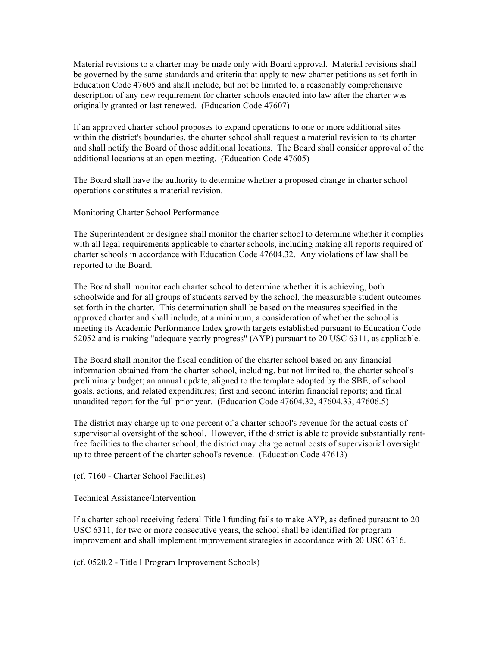Material revisions to a charter may be made only with Board approval. Material revisions shall be governed by the same standards and criteria that apply to new charter petitions as set forth in Education Code 47605 and shall include, but not be limited to, a reasonably comprehensive description of any new requirement for charter schools enacted into law after the charter was originally granted or last renewed. (Education Code 47607)

If an approved charter school proposes to expand operations to one or more additional sites within the district's boundaries, the charter school shall request a material revision to its charter and shall notify the Board of those additional locations. The Board shall consider approval of the additional locations at an open meeting. (Education Code 47605)

The Board shall have the authority to determine whether a proposed change in charter school operations constitutes a material revision.

Monitoring Charter School Performance

The Superintendent or designee shall monitor the charter school to determine whether it complies with all legal requirements applicable to charter schools, including making all reports required of charter schools in accordance with Education Code 47604.32. Any violations of law shall be reported to the Board.

The Board shall monitor each charter school to determine whether it is achieving, both schoolwide and for all groups of students served by the school, the measurable student outcomes set forth in the charter. This determination shall be based on the measures specified in the approved charter and shall include, at a minimum, a consideration of whether the school is meeting its Academic Performance Index growth targets established pursuant to Education Code 52052 and is making "adequate yearly progress" (AYP) pursuant to 20 USC 6311, as applicable.

The Board shall monitor the fiscal condition of the charter school based on any financial information obtained from the charter school, including, but not limited to, the charter school's preliminary budget; an annual update, aligned to the template adopted by the SBE, of school goals, actions, and related expenditures; first and second interim financial reports; and final unaudited report for the full prior year. (Education Code 47604.32, 47604.33, 47606.5)

The district may charge up to one percent of a charter school's revenue for the actual costs of supervisorial oversight of the school. However, if the district is able to provide substantially rentfree facilities to the charter school, the district may charge actual costs of supervisorial oversight up to three percent of the charter school's revenue. (Education Code 47613)

(cf. 7160 - Charter School Facilities)

Technical Assistance/Intervention

If a charter school receiving federal Title I funding fails to make AYP, as defined pursuant to 20 USC 6311, for two or more consecutive years, the school shall be identified for program improvement and shall implement improvement strategies in accordance with 20 USC 6316.

(cf. 0520.2 - Title I Program Improvement Schools)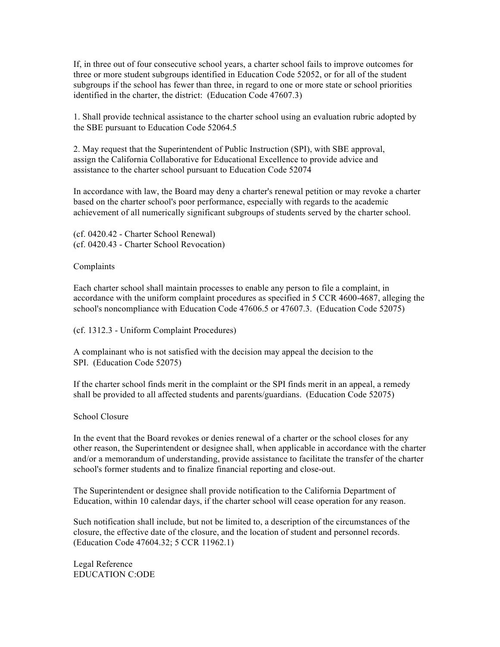If, in three out of four consecutive school years, a charter school fails to improve outcomes for three or more student subgroups identified in Education Code 52052, or for all of the student subgroups if the school has fewer than three, in regard to one or more state or school priorities identified in the charter, the district: (Education Code 47607.3)

1. Shall provide technical assistance to the charter school using an evaluation rubric adopted by the SBE pursuant to Education Code 52064.5

2. May request that the Superintendent of Public Instruction (SPI), with SBE approval, assign the California Collaborative for Educational Excellence to provide advice and assistance to the charter school pursuant to Education Code 52074

In accordance with law, the Board may deny a charter's renewal petition or may revoke a charter based on the charter school's poor performance, especially with regards to the academic achievement of all numerically significant subgroups of students served by the charter school.

(cf. 0420.42 - Charter School Renewal) (cf. 0420.43 - Charter School Revocation)

Complaints

Each charter school shall maintain processes to enable any person to file a complaint, in accordance with the uniform complaint procedures as specified in 5 CCR 4600-4687, alleging the school's noncompliance with Education Code 47606.5 or 47607.3. (Education Code 52075)

(cf. 1312.3 - Uniform Complaint Procedures)

A complainant who is not satisfied with the decision may appeal the decision to the SPI. (Education Code 52075)

If the charter school finds merit in the complaint or the SPI finds merit in an appeal, a remedy shall be provided to all affected students and parents/guardians. (Education Code 52075)

School Closure

In the event that the Board revokes or denies renewal of a charter or the school closes for any other reason, the Superintendent or designee shall, when applicable in accordance with the charter and/or a memorandum of understanding, provide assistance to facilitate the transfer of the charter school's former students and to finalize financial reporting and close-out.

The Superintendent or designee shall provide notification to the California Department of Education, within 10 calendar days, if the charter school will cease operation for any reason.

Such notification shall include, but not be limited to, a description of the circumstances of the closure, the effective date of the closure, and the location of student and personnel records. (Education Code 47604.32; 5 CCR 11962.1)

Legal Reference EDUCATION C:ODE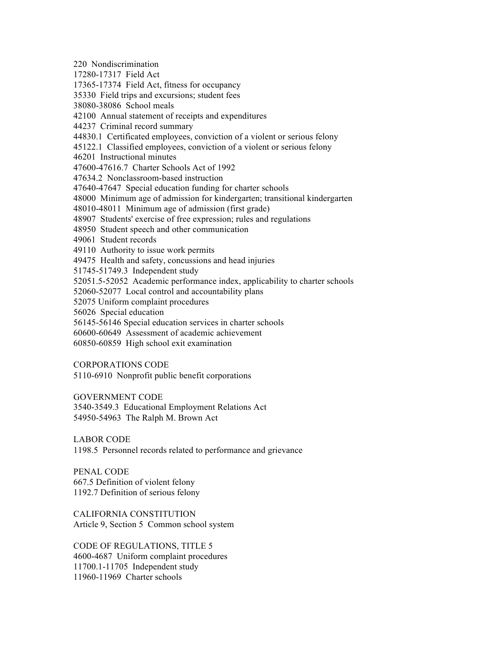220 Nondiscrimination 17280-17317 Field Act 17365-17374 Field Act, fitness for occupancy 35330 Field trips and excursions; student fees 38080-38086 School meals 42100 Annual statement of receipts and expenditures 44237 Criminal record summary 44830.1 Certificated employees, conviction of a violent or serious felony 45122.1 Classified employees, conviction of a violent or serious felony 46201 Instructional minutes 47600-47616.7 Charter Schools Act of 1992 47634.2 Nonclassroom-based instruction 47640-47647 Special education funding for charter schools 48000 Minimum age of admission for kindergarten; transitional kindergarten 48010-48011 Minimum age of admission (first grade) 48907 Students' exercise of free expression; rules and regulations 48950 Student speech and other communication 49061 Student records 49110 Authority to issue work permits 49475 Health and safety, concussions and head injuries 51745-51749.3 Independent study 52051.5-52052 Academic performance index, applicability to charter schools 52060-52077 Local control and accountability plans 52075 Uniform complaint procedures 56026 Special education 56145-56146 Special education services in charter schools 60600-60649 Assessment of academic achievement 60850-60859 High school exit examination CORPORATIONS CODE

5110-6910 Nonprofit public benefit corporations

GOVERNMENT CODE

3540-3549.3 Educational Employment Relations Act 54950-54963 The Ralph M. Brown Act

LABOR CODE

1198.5 Personnel records related to performance and grievance

PENAL CODE 667.5 Definition of violent felony 1192.7 Definition of serious felony

CALIFORNIA CONSTITUTION Article 9, Section 5 Common school system

CODE OF REGULATIONS, TITLE 5 4600-4687 Uniform complaint procedures 11700.1-11705 Independent study 11960-11969 Charter schools